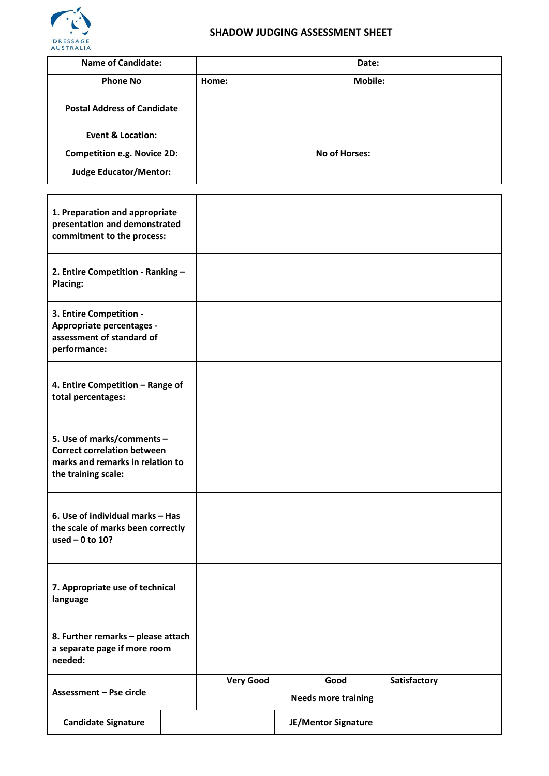

# **SHADOW JUDGING ASSESSMENT SHEET**

| <b>Name of Candidate:</b>                                                                         |  |                  |                            | Date:   |              |
|---------------------------------------------------------------------------------------------------|--|------------------|----------------------------|---------|--------------|
| <b>Phone No</b>                                                                                   |  | Home:            |                            | Mobile: |              |
| <b>Postal Address of Candidate</b>                                                                |  |                  |                            |         |              |
|                                                                                                   |  |                  |                            |         |              |
| <b>Event &amp; Location:</b>                                                                      |  |                  |                            |         |              |
| <b>Competition e.g. Novice 2D:</b>                                                                |  |                  | <b>No of Horses:</b>       |         |              |
| <b>Judge Educator/Mentor:</b>                                                                     |  |                  |                            |         |              |
|                                                                                                   |  |                  |                            |         |              |
| 1. Preparation and appropriate                                                                    |  |                  |                            |         |              |
| presentation and demonstrated<br>commitment to the process:                                       |  |                  |                            |         |              |
|                                                                                                   |  |                  |                            |         |              |
| 2. Entire Competition - Ranking -<br>Placing:                                                     |  |                  |                            |         |              |
|                                                                                                   |  |                  |                            |         |              |
| 3. Entire Competition -<br>Appropriate percentages -<br>assessment of standard of<br>performance: |  |                  |                            |         |              |
|                                                                                                   |  |                  |                            |         |              |
|                                                                                                   |  |                  |                            |         |              |
| 4. Entire Competition - Range of<br>total percentages:                                            |  |                  |                            |         |              |
|                                                                                                   |  |                  |                            |         |              |
|                                                                                                   |  |                  |                            |         |              |
|                                                                                                   |  |                  |                            |         |              |
| 5. Use of marks/comments -<br><b>Correct correlation between</b>                                  |  |                  |                            |         |              |
| marks and remarks in relation to<br>the training scale:                                           |  |                  |                            |         |              |
|                                                                                                   |  |                  |                            |         |              |
| 6. Use of individual marks - Has<br>the scale of marks been correctly<br>used $-0$ to 10?         |  |                  |                            |         |              |
|                                                                                                   |  |                  |                            |         |              |
|                                                                                                   |  |                  |                            |         |              |
|                                                                                                   |  |                  |                            |         |              |
| 7. Appropriate use of technical<br>language                                                       |  |                  |                            |         |              |
|                                                                                                   |  |                  |                            |         |              |
|                                                                                                   |  |                  |                            |         |              |
| 8. Further remarks - please attach<br>a separate page if more room<br>needed:                     |  |                  |                            |         |              |
|                                                                                                   |  |                  |                            |         |              |
|                                                                                                   |  | <b>Very Good</b> | Good                       |         | Satisfactory |
| Assessment - Pse circle                                                                           |  |                  | <b>Needs more training</b> |         |              |
| <b>Candidate Signature</b>                                                                        |  |                  | JE/Mentor Signature        |         |              |